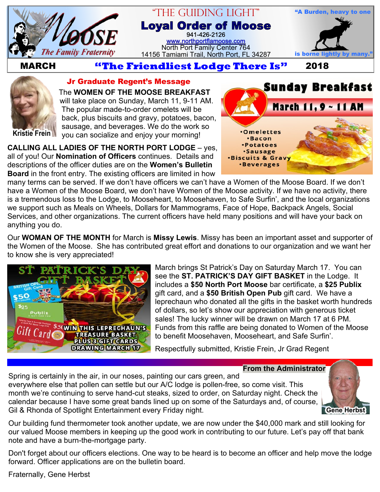

# "The Guiding Light" **Loyal Order of Moose** 941-426-2126 [www.northportflamoose.com](http://www.northportflamoose.com)

North Port Family Center 764 14156 Tamiami Trail, North Port, FL 34287 is borne li



 **MARCH 2018**



#### **Jr Graduate Regent's Message**

The **WOMEN OF THE MOOSE BREAKFAST** will take place on Sunday, March 11, 9-11 AM. The popular made-to-order omelets will be back, plus biscuits and gravy, potatoes, bacon, sausage, and beverages. We do the work so you can socialize and enjoy your morning!

**CALLING ALL LADIES OF THE NORTH PORT LODGE** – yes, all of you! Our **Nomination of Officers** continues. Details and descriptions of the officer duties are on the **Women's Bulletin Board** in the front entry. The existing officers are limited in how



many terms can be served. If we don't have officers we can't have a Women of the Moose Board. If we don't have a Women of the Moose Board, we don't have Women of the Moose activity. If we have no activity, there is a tremendous loss to the Lodge, to Mooseheart, to Moosehaven, to Safe Surfin', and the local organizations we support such as Meals on Wheels, Dollars for Mammograms, Face of Hope, Backpack Angels, Social Services, and other organizations. The current officers have held many positions and will have your back on anything you do.

Our **WOMAN OF THE MONTH** for March is **Missy Lewis**. Missy has been an important asset and supporter of the Women of the Moose. She has contributed great effort and donations to our organization and we want her to know she is very appreciated!



March brings St Patrick's Day on Saturday March 17. You can see the **ST. PATRICK'S DAY GIFT BASKET** in the Lodge. It includes a **\$50 North Port Moose** bar certificate, a **\$25 Publix** gift card, and a **\$50 British Open Pub** gift card. We have a leprechaun who donated all the gifts in the basket worth hundreds of dollars, so let's show our appreciation with generous ticket sales! The lucky winner will be drawn on March 17 at 6 PM. Funds from this raffle are being donated to Women of the Moose to benefit Moosehaven, Mooseheart, and Safe Surfin'.

Respectfully submitted, Kristie Frein, Jr Grad Regent

**From the Administrator**

Spring is certainly in the air, in our noses, painting our cars green, and everywhere else that pollen can settle but our A/C lodge is pollen-free, so come visit. This month we're continuing to serve hand-cut steaks, sized to order, on Saturday night. Check the calendar because I have some great bands lined up on some of the Saturdays and, of course, Gil & Rhonda of Spotlight Entertainment every Friday night.



Our building fund thermometer took another update, we are now under the \$40,000 mark and still looking for our valued Moose members in keeping up the good work in contributing to our future. Let's pay off that bank note and have a burn-the-mortgage party.

Don't forget about our officers elections. One way to be heard is to become an officer and help move the lodge forward. Officer applications are on the bulletin board.

Fraternally, Gene Herbst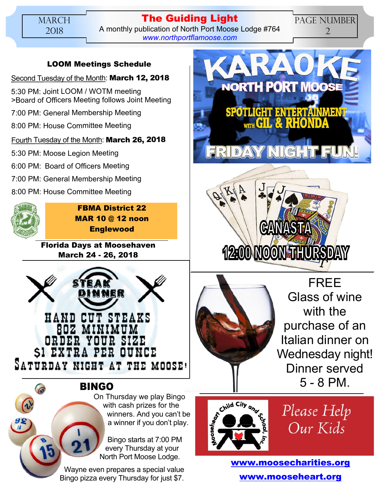**The Guiding Light** A monthly publication of North Port Moose Lodge #764 *[www.northportflamoose.com](http://www.northportflamoose.com)*

#### **LOOM Meetings Schedule**

### Second Tuesday of the Month: **March 12, 2018**

5:30 PM: Joint LOOM / WOTM meeting >Board of Officers Meeting follows Joint Meeting

7:00 PM: General Membership Meeting

8:00 PM: House Committee Meeting

## Fourth Tuesday of the Month: **March 26, 2018**

5:30 PM: Moose Legion Meeting

6:00 PM: Board of Officers Meeting

- 7:00 PM: General Membership Meeting
- 8:00 PM: House Committee Meeting



**FBMA District 22 MAR 10 @ 12 noon Englewood**

**Florida Days at Moosehaven March 24 - 26, 2018**



**BINGO**

On Thursday we play Bingo with cash prizes for the winners. And you can't be a winner if you don't play.

Bingo starts at 7:00 PM every Thursday at your North Port Moose Lodge.

Wayne even prepares a special value Bingo pizza every Thursday for just \$7.



PAGE NUMBER 2





FREE Glass of wine with the purchase of an Italian dinner on Wednesday night! Dinner served 5 - 8 PM.



Please Help Our Kids

**[www.moosecharities.org](http://www.moosecharities.org) [www.mooseheart.org](http://www.mooseheart.org)**